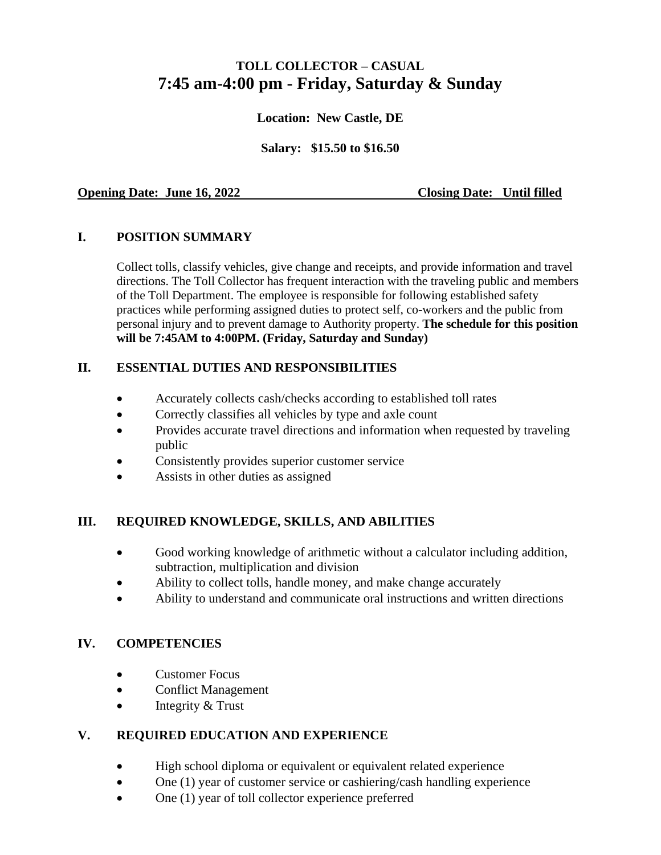# **TOLL COLLECTOR – CASUAL 7:45 am-4:00 pm - Friday, Saturday & Sunday**

#### **Location: New Castle, DE**

**Salary: \$15.50 to \$16.50**

#### **Opening Date: June 16, 2022** Closing Date: Until filled

### **I. POSITION SUMMARY**

Collect tolls, classify vehicles, give change and receipts, and provide information and travel directions. The Toll Collector has frequent interaction with the traveling public and members of the Toll Department. The employee is responsible for following established safety practices while performing assigned duties to protect self, co-workers and the public from personal injury and to prevent damage to Authority property. **The schedule for this position will be 7:45AM to 4:00PM. (Friday, Saturday and Sunday)**

### **II. ESSENTIAL DUTIES AND RESPONSIBILITIES**

- Accurately collects cash/checks according to established toll rates
- Correctly classifies all vehicles by type and axle count
- Provides accurate travel directions and information when requested by traveling public
- Consistently provides superior customer service
- Assists in other duties as assigned

#### **III. REQUIRED KNOWLEDGE, SKILLS, AND ABILITIES**

- Good working knowledge of arithmetic without a calculator including addition, subtraction, multiplication and division
- Ability to collect tolls, handle money, and make change accurately
- Ability to understand and communicate oral instructions and written directions

# **IV. COMPETENCIES**

- Customer Focus
- Conflict Management
- Integrity & Trust

# **V. REQUIRED EDUCATION AND EXPERIENCE**

- High school diploma or equivalent or equivalent related experience
- One (1) year of customer service or cashiering/cash handling experience
- One (1) year of toll collector experience preferred